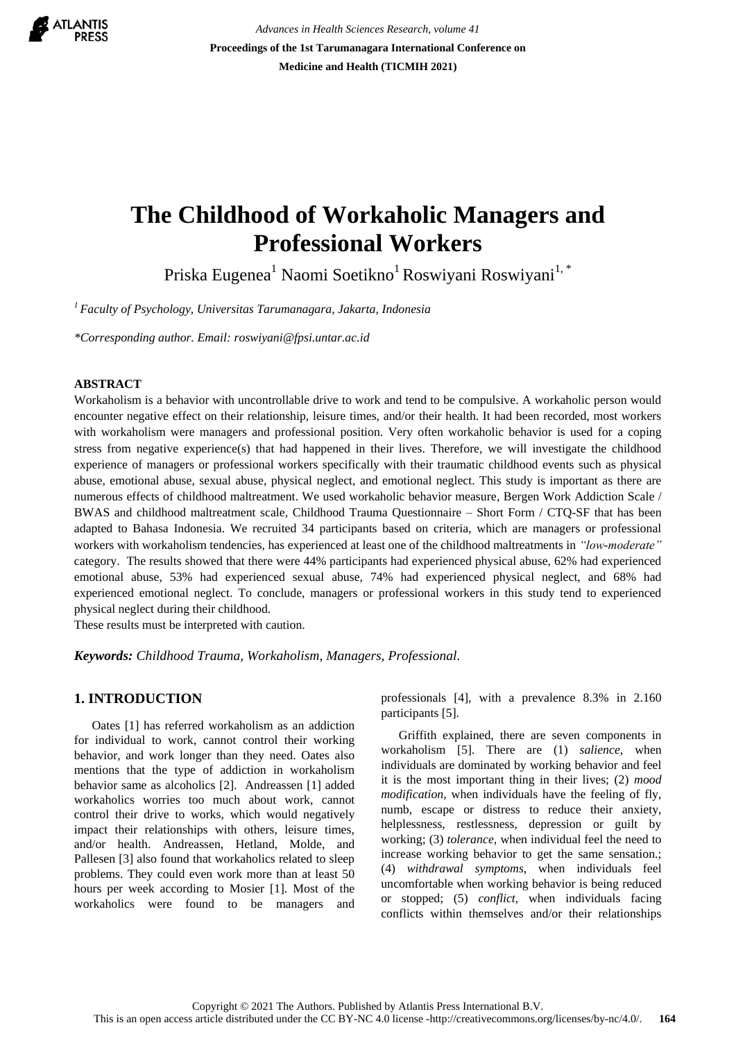

*Advances in Health Sciences Research, volume 41* **Proceedings of the 1st Tarumanagara International Conference on Medicine and Health (TICMIH 2021)**

# **The Childhood of Workaholic Managers and Professional Workers**

Priska Eugenea<sup>1</sup> Naomi Soetikno<sup>1</sup> Roswiyani Roswiyani<sup>1, \*</sup>

*<sup>1</sup>Faculty of Psychology, Universitas Tarumanagara, Jakarta, Indonesia*

*\*Corresponding author. Email: [roswiyani@fpsi.untar.ac.id](mailto:roswiyani@fpsi.untar.ac.id)*

#### **ABSTRACT**

Workaholism is a behavior with uncontrollable drive to work and tend to be compulsive. A workaholic person would encounter negative effect on their relationship, leisure times, and/or their health. It had been recorded, most workers with workaholism were managers and professional position. Very often workaholic behavior is used for a coping stress from negative experience(s) that had happened in their lives. Therefore, we will investigate the childhood experience of managers or professional workers specifically with their traumatic childhood events such as physical abuse, emotional abuse, sexual abuse, physical neglect, and emotional neglect. This study is important as there are numerous effects of childhood maltreatment. We used workaholic behavior measure, Bergen Work Addiction Scale / BWAS and childhood maltreatment scale, Childhood Trauma Questionnaire – Short Form / CTQ-SF that has been adapted to Bahasa Indonesia. We recruited 34 participants based on criteria, which are managers or professional workers with workaholism tendencies, has experienced at least one of the childhood maltreatments in *"low-moderate"*  category. The results showed that there were 44% participants had experienced physical abuse, 62% had experienced emotional abuse, 53% had experienced sexual abuse, 74% had experienced physical neglect, and 68% had experienced emotional neglect. To conclude, managers or professional workers in this study tend to experienced physical neglect during their childhood.

These results must be interpreted with caution.

*Keywords: Childhood Trauma, Workaholism, Managers, Professional.*

#### **1. INTRODUCTION**

Oates [1] has referred workaholism as an addiction for individual to work, cannot control their working behavior, and work longer than they need. Oates also mentions that the type of addiction in workaholism behavior same as alcoholics [2]. Andreassen [1] added workaholics worries too much about work, cannot control their drive to works, which would negatively impact their relationships with others, leisure times, and/or health. Andreassen, Hetland, Molde, and Pallesen [3] also found that workaholics related to sleep problems. They could even work more than at least 50 hours per week according to Mosier [1]. Most of the workaholics were found to be managers and professionals [4], with a prevalence 8.3% in 2.160 participants [5].

Griffith explained, there are seven components in workaholism [5]. There are (1) *salience*, when individuals are dominated by working behavior and feel it is the most important thing in their lives; (2) *mood modification*, when individuals have the feeling of fly, numb, escape or distress to reduce their anxiety, helplessness, restlessness, depression or guilt by working; (3) *tolerance,* when individual feel the need to increase working behavior to get the same sensation.; (4) *withdrawal symptoms*, when individuals feel uncomfortable when working behavior is being reduced or stopped; (5) *conflict,* when individuals facing conflicts within themselves and/or their relationships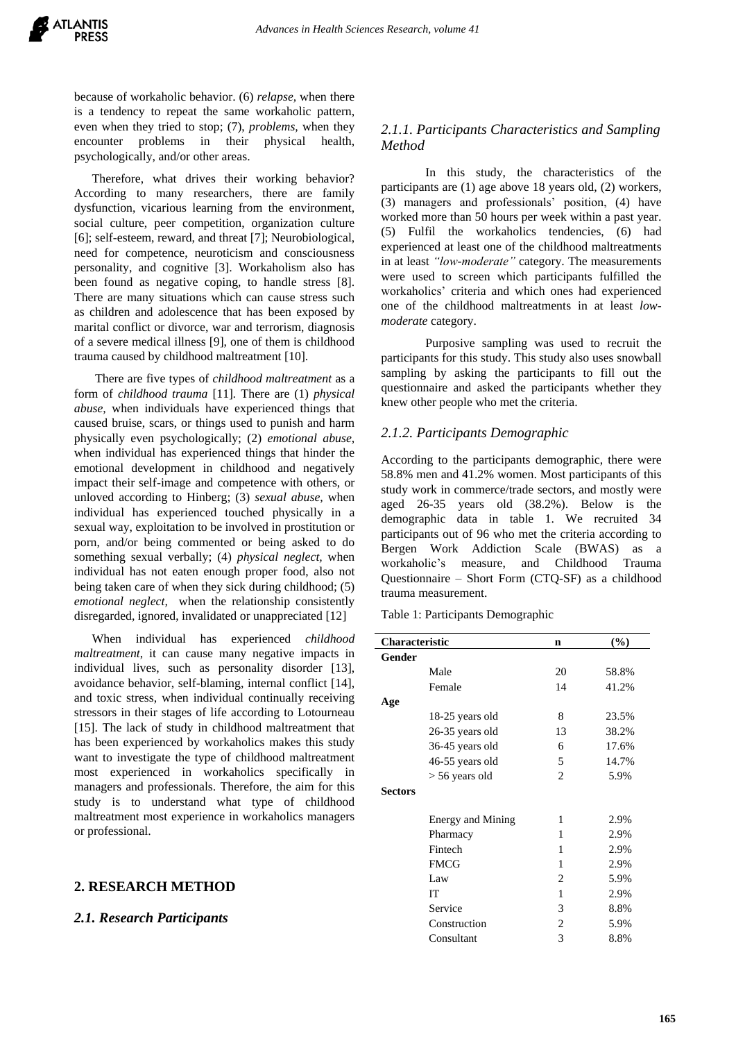because of workaholic behavior. (6) *relapse,* when there is a tendency to repeat the same workaholic pattern, even when they tried to stop; (7), *problems,* when they encounter problems in their physical health, psychologically, and/or other areas.

Therefore, what drives their working behavior? According to many researchers, there are family dysfunction, vicarious learning from the environment, social culture, peer competition, organization culture [6]; self-esteem, reward, and threat [7]; Neurobiological, need for competence, neuroticism and consciousness personality, and cognitive [3]. Workaholism also has been found as negative coping, to handle stress [8]. There are many situations which can cause stress such as children and adolescence that has been exposed by marital conflict or divorce, war and terrorism, diagnosis of a severe medical illness [9], one of them is childhood trauma caused by childhood maltreatment [10].

There are five types of *childhood maltreatment* as a form of *childhood trauma* [11]*.* There are (1) *physical abuse,* when individuals have experienced things that caused bruise, scars, or things used to punish and harm physically even psychologically; (2) *emotional abuse,*  when individual has experienced things that hinder the emotional development in childhood and negatively impact their self-image and competence with others, or unloved according to Hinberg; (3) *sexual abuse,* when individual has experienced touched physically in a sexual way, exploitation to be involved in prostitution or porn, and/or being commented or being asked to do something sexual verbally; (4) *physical neglect,* when individual has not eaten enough proper food, also not being taken care of when they sick during childhood; (5) *emotional neglect,* when the relationship consistently disregarded, ignored, invalidated or unappreciated [12]

When individual has experienced *childhood maltreatment*, it can cause many negative impacts in individual lives, such as personality disorder [13], avoidance behavior, self-blaming, internal conflict [14], and toxic stress, when individual continually receiving stressors in their stages of life according to Lotourneau [15]. The lack of study in childhood maltreatment that has been experienced by workaholics makes this study want to investigate the type of childhood maltreatment most experienced in workaholics specifically in managers and professionals. Therefore, the aim for this study is to understand what type of childhood maltreatment most experience in workaholics managers or professional.

### **2. RESEARCH METHOD**

#### *2.1. Research Participants*

### *2.1.1. Participants Characteristics and Sampling Method*

In this study, the characteristics of the participants are (1) age above 18 years old, (2) workers, (3) managers and professionals' position, (4) have worked more than 50 hours per week within a past year. (5) Fulfil the workaholics tendencies, (6) had experienced at least one of the childhood maltreatments in at least *"low-moderate"* category. The measurements were used to screen which participants fulfilled the workaholics' criteria and which ones had experienced one of the childhood maltreatments in at least *lowmoderate* category.

Purposive sampling was used to recruit the participants for this study. This study also uses snowball sampling by asking the participants to fill out the questionnaire and asked the participants whether they knew other people who met the criteria.

#### *2.1.2. Participants Demographic*

According to the participants demographic, there were 58.8% men and 41.2% women. Most participants of this study work in commerce/trade sectors, and mostly were aged 26-35 years old (38.2%). Below is the demographic data in table 1. We recruited 34 participants out of 96 who met the criteria according to Bergen Work Addiction Scale (BWAS) as a workaholic's measure, and Childhood Trauma Questionnaire – Short Form (CTQ-SF) as a childhood trauma measurement.

Table 1: Participants Demographic

| $(\%)$      |
|-------------|
|             |
| 20<br>58.8% |
| 14<br>41.2% |
|             |
| 23.5%       |
| 13<br>38.2% |
| 17.6%       |
| 14.7%       |
| 5.9%        |
|             |
|             |
| 2.9%        |
| 2.9%        |
| 2.9%        |
| 2.9%        |
| 5.9%        |
| 2.9%        |
| 8.8%        |
| 5.9%        |
| 8.8%        |
|             |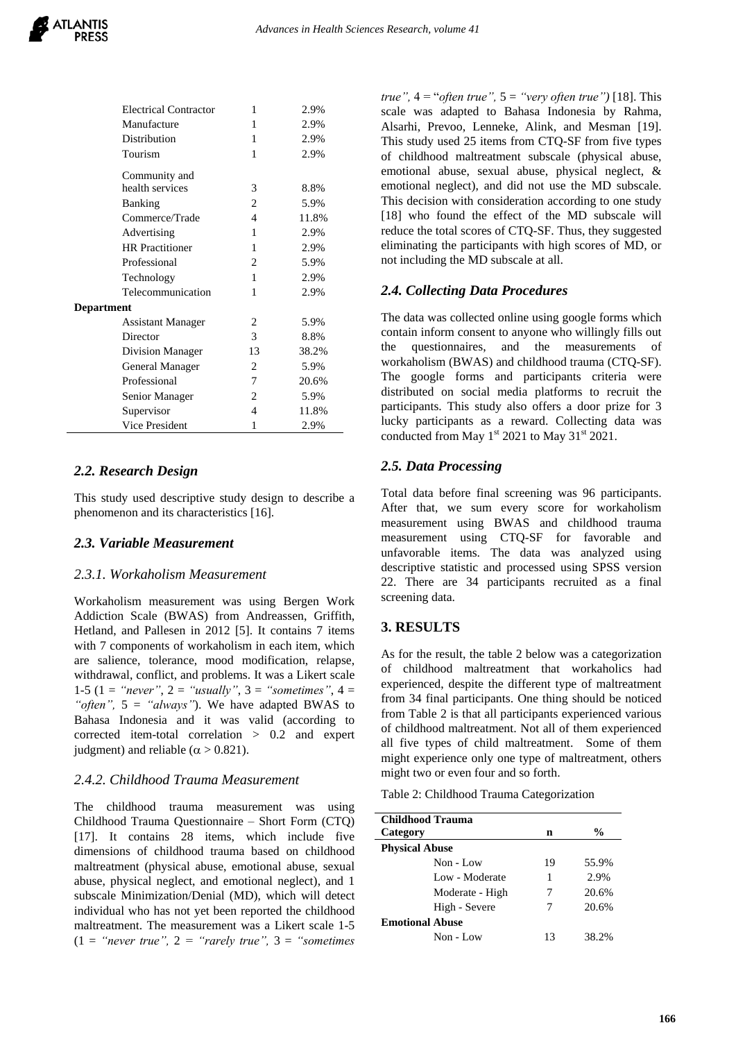| н              | 2.YYO |
|----------------|-------|
| 1              | 2.9%  |
| 1              | 2.9%  |
| 1              | 2.9%  |
|                |       |
| 3              | 8.8%  |
| $\overline{c}$ | 5.9%  |
| 4              | 11.8% |
| 1              | 2.9%  |
| 1              | 2.9%  |
| 2              | 5.9%  |
| 1              | 2.9%  |
| 1              | 2.9%  |
|                |       |
| 2              | 5.9%  |
| 3              | 8.8%  |
| 13             | 38.2% |
| 2              | 5.9%  |
| 7              | 20.6% |
| 2              | 5.9%  |
| 4              | 11.8% |
| 1              | 2.9%  |
|                |       |

 $E_1$   $E_2$   $E_3$   $E_4$   $E_5$   $E_6$   $E_7$   $E_8$   $E_9$   $E_9$   $E_1$   $E_2$   $E_3$   $E_7$   $E_8$   $E_9$   $E_9$   $E_1$   $E_2$   $E_3$   $E_7$   $E_8$   $E_9$   $E_9$   $E_1$   $E_2$   $E_3$   $E_7$   $E_8$   $E_9$   $E_9$   $E_1$   $E_2$   $E_3$   $E_7$   $E_8$   $E_9$ 

## *2.2. Research Design*

This study used descriptive study design to describe a phenomenon and its characteristics [16].

### *2.3. Variable Measurement*

### *2.3.1. Workaholism Measurement*

Workaholism measurement was using Bergen Work Addiction Scale (BWAS) from Andreassen, Griffith, Hetland, and Pallesen in 2012 [5]. It contains 7 items with 7 components of workaholism in each item, which are salience, tolerance, mood modification, relapse, withdrawal, conflict, and problems. It was a Likert scale 1-5 (1 = *"never"*, 2 = *"usually"*, 3 = *"sometimes"*, 4 = *"often",* 5 = *"always"*). We have adapted BWAS to Bahasa Indonesia and it was valid (according to corrected item-total correlation > 0.2 and expert judgment) and reliable ( $\alpha > 0.821$ ).

### *2.4.2. Childhood Trauma Measurement*

The childhood trauma measurement was using Childhood Trauma Questionnaire – Short Form (CTQ) [17]. It contains 28 items, which include five dimensions of childhood trauma based on childhood maltreatment (physical abuse, emotional abuse, sexual abuse, physical neglect, and emotional neglect), and 1 subscale Minimization/Denial (MD), which will detect individual who has not yet been reported the childhood maltreatment. The measurement was a Likert scale 1-5  $(1 = "never true", 2 = "rarely true", 3 = "sometimes"$ 

*true",* 4 = "*often true",* 5 = *"very often true")* [18]. This scale was adapted to Bahasa Indonesia by Rahma, Alsarhi, Prevoo, Lenneke, Alink, and Mesman [19]. This study used 25 items from CTQ-SF from five types of childhood maltreatment subscale (physical abuse, emotional abuse, sexual abuse, physical neglect, & emotional neglect), and did not use the MD subscale. This decision with consideration according to one study [18] who found the effect of the MD subscale will reduce the total scores of CTQ-SF. Thus, they suggested eliminating the participants with high scores of MD, or not including the MD subscale at all.

## *2.4. Collecting Data Procedures*

The data was collected online using google forms which contain inform consent to anyone who willingly fills out the questionnaires, and the measurements of workaholism (BWAS) and childhood trauma (CTQ-SF). The google forms and participants criteria were distributed on social media platforms to recruit the participants. This study also offers a door prize for 3 lucky participants as a reward. Collecting data was conducted from May  $1<sup>st</sup> 2021$  to May  $31<sup>st</sup> 2021$ .

## *2.5. Data Processing*

Total data before final screening was 96 participants. After that, we sum every score for workaholism measurement using BWAS and childhood trauma measurement using CTQ-SF for favorable and unfavorable items. The data was analyzed using descriptive statistic and processed using SPSS version 22. There are 34 participants recruited as a final screening data.

## **3. RESULTS**

As for the result, the table 2 below was a categorization of childhood maltreatment that workaholics had experienced, despite the different type of maltreatment from 34 final participants. One thing should be noticed from Table 2 is that all participants experienced various of childhood maltreatment. Not all of them experienced all five types of child maltreatment. Some of them might experience only one type of maltreatment, others might two or even four and so forth.

Table 2: Childhood Trauma Categorization

| <b>Childhood Trauma</b> |    |       |  |  |
|-------------------------|----|-------|--|--|
| Category                | n  | $\%$  |  |  |
| <b>Physical Abuse</b>   |    |       |  |  |
| Non - Low               | 19 | 55.9% |  |  |
| Low - Moderate          | 1  | 2.9%  |  |  |
| Moderate - High         | 7  | 20.6% |  |  |
| High - Severe           | 7  | 20.6% |  |  |
| <b>Emotional Abuse</b>  |    |       |  |  |
| Non - Low               | 13 | 38.2% |  |  |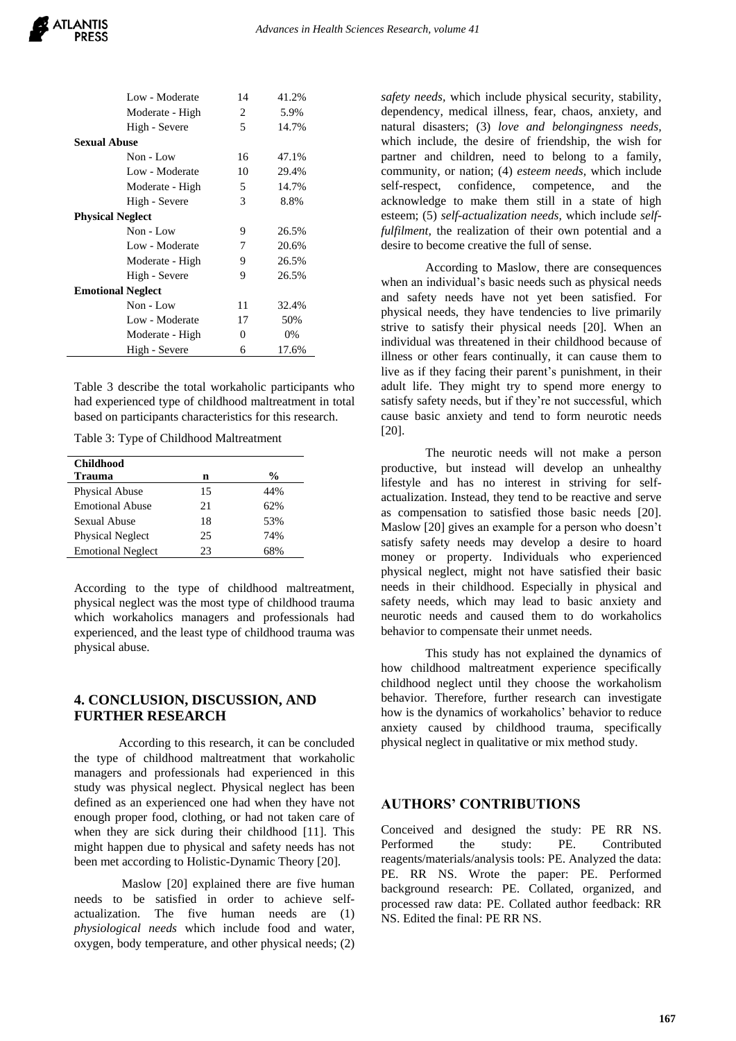| Low - Moderate           | 14 | 41.2% |  |  |
|--------------------------|----|-------|--|--|
| Moderate - High          | 2  | 5.9%  |  |  |
| High - Severe            | 5  | 14.7% |  |  |
| <b>Sexual Abuse</b>      |    |       |  |  |
| Non - Low                | 16 | 47.1% |  |  |
| Low - Moderate           | 10 | 29.4% |  |  |
| Moderate - High          | 5  | 14.7% |  |  |
| High - Severe            | 3  | 8.8%  |  |  |
| <b>Physical Neglect</b>  |    |       |  |  |
| $Non$ - $Low$            | 9  | 26.5% |  |  |
| Low - Moderate           | 7  | 20.6% |  |  |
| Moderate - High          | 9  | 26.5% |  |  |
| High - Severe            | 9  | 26.5% |  |  |
| <b>Emotional Neglect</b> |    |       |  |  |
| $Non$ - $Low$            | 11 | 32.4% |  |  |
| Low - Moderate           | 17 | 50%   |  |  |
| Moderate - High          | 0  | 0%    |  |  |
| High - Severe            | 6  | 17.6% |  |  |

Table 3 describe the total workaholic participants who had experienced type of childhood maltreatment in total based on participants characteristics for this research.

Table 3: Type of Childhood Maltreatment

| <b>Childhood</b>         |    |               |
|--------------------------|----|---------------|
| Trauma                   | n  | $\frac{0}{0}$ |
| Physical Abuse           | 15 | 44%           |
| <b>Emotional Abuse</b>   | 21 | 62%           |
| Sexual Abuse             | 18 | 53%           |
| <b>Physical Neglect</b>  | 25 | 74%           |
| <b>Emotional Neglect</b> | 23 | 68%           |

According to the type of childhood maltreatment, physical neglect was the most type of childhood trauma which workaholics managers and professionals had experienced, and the least type of childhood trauma was physical abuse.

## **4. CONCLUSION, DISCUSSION, AND FURTHER RESEARCH**

According to this research, it can be concluded the type of childhood maltreatment that workaholic managers and professionals had experienced in this study was physical neglect. Physical neglect has been defined as an experienced one had when they have not enough proper food, clothing, or had not taken care of when they are sick during their childhood [11]. This might happen due to physical and safety needs has not been met according to Holistic-Dynamic Theory [20].

Maslow [20] explained there are five human needs to be satisfied in order to achieve selfactualization. The five human needs are (1) *physiological needs* which include food and water, oxygen, body temperature, and other physical needs; (2) *safety needs,* which include physical security, stability, dependency, medical illness, fear, chaos, anxiety, and natural disasters; (3) *love and belongingness needs,*  which include, the desire of friendship, the wish for partner and children, need to belong to a family, community, or nation; (4) *esteem needs,* which include self-respect, confidence, competence, and the acknowledge to make them still in a state of high esteem; (5) *self-actualization needs,* which include *selffulfilment,* the realization of their own potential and a desire to become creative the full of sense.

According to Maslow, there are consequences when an individual's basic needs such as physical needs and safety needs have not yet been satisfied. For physical needs, they have tendencies to live primarily strive to satisfy their physical needs [20]. When an individual was threatened in their childhood because of illness or other fears continually, it can cause them to live as if they facing their parent's punishment, in their adult life. They might try to spend more energy to satisfy safety needs, but if they're not successful, which cause basic anxiety and tend to form neurotic needs [20].

The neurotic needs will not make a person productive, but instead will develop an unhealthy lifestyle and has no interest in striving for selfactualization. Instead, they tend to be reactive and serve as compensation to satisfied those basic needs [20]. Maslow [20] gives an example for a person who doesn't satisfy safety needs may develop a desire to hoard money or property. Individuals who experienced physical neglect, might not have satisfied their basic needs in their childhood. Especially in physical and safety needs, which may lead to basic anxiety and neurotic needs and caused them to do workaholics behavior to compensate their unmet needs.

This study has not explained the dynamics of how childhood maltreatment experience specifically childhood neglect until they choose the workaholism behavior. Therefore, further research can investigate how is the dynamics of workaholics' behavior to reduce anxiety caused by childhood trauma, specifically physical neglect in qualitative or mix method study.

### **AUTHORS' CONTRIBUTIONS**

Conceived and designed the study: PE RR NS. Performed the study: PE. Contributed reagents/materials/analysis tools: PE. Analyzed the data: PE. RR NS. Wrote the paper: PE. Performed background research: PE. Collated, organized, and processed raw data: PE. Collated author feedback: RR NS. Edited the final: PE RR NS.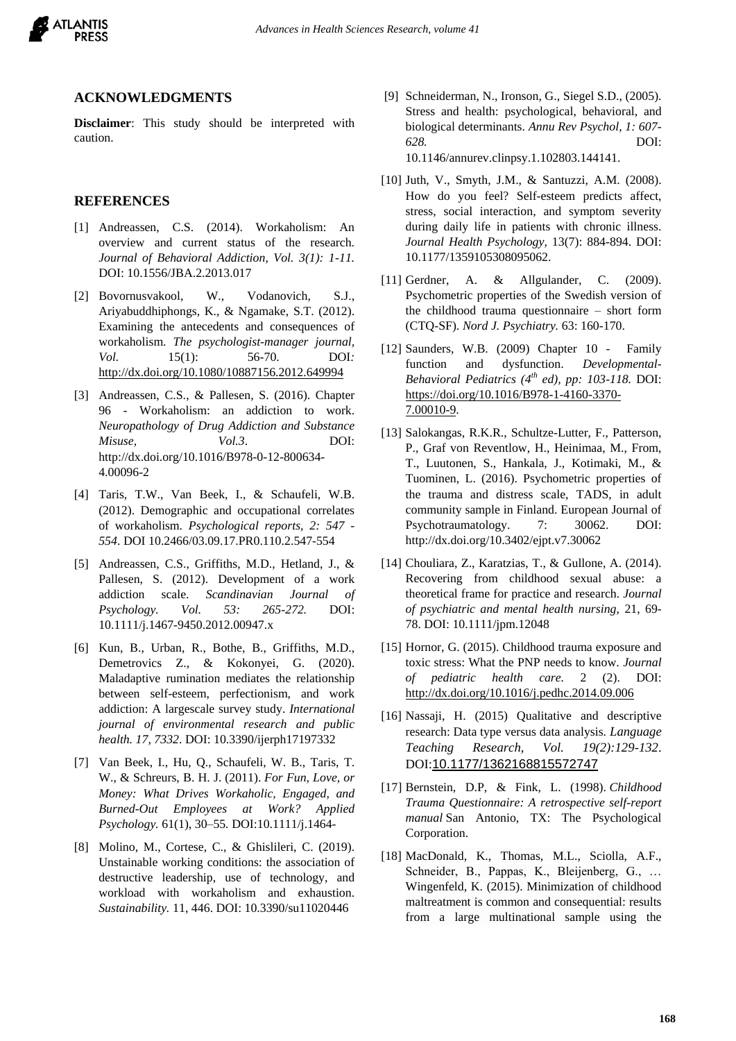

#### **ACKNOWLEDGMENTS**

**Disclaimer**: This study should be interpreted with caution.

#### **REFERENCES**

- [1] Andreassen, C.S. (2014). Workaholism: An overview and current status of the research. *Journal of Behavioral Addiction, Vol. 3(1): 1-11.*  DOI: 10.1556/JBA.2.2013.017
- [2] Bovornusvakool, W., Vodanovich, S.J., Ariyabuddhiphongs, K., & Ngamake, S.T. (2012). Examining the antecedents and consequences of workaholism. *The psychologist-manager journal, Vol.* 15(1): 56-70. DOI*:*  <http://dx.doi.org/10.1080/10887156.2012.649994>
- [3] Andreassen, C.S., & Pallesen, S. (2016). Chapter 96 - Workaholism: an addiction to work. *Neuropathology of Drug Addiction and Substance Misuse, Vol.3*. DOI: [http://dx.doi.org/10.1016/B978-0-12-800634-](http://dx.doi.org/10.1016/B978-0-12-800634-4.00096-2) [4.00096-2](http://dx.doi.org/10.1016/B978-0-12-800634-4.00096-2)
- [4] Taris, T.W., Van Beek, I., & Schaufeli, W.B. (2012). Demographic and occupational correlates of workaholism. *Psychological reports, 2: 547 - 554*. DOI 10.2466/03.09.17.PR0.110.2.547-554
- [5] Andreassen, C.S., Griffiths, M.D., Hetland, J., & Pallesen, S. (2012). Development of a work addiction scale. *Scandinavian Journal of Psychology. Vol. 53: 265-272.* DOI: 10.1111/j.1467-9450.2012.00947.x
- [6] Kun, B., Urban, R., Bothe, B., Griffiths, M.D., Demetrovics Z., & Kokonyei, G. (2020). Maladaptive rumination mediates the relationship between self-esteem, perfectionism, and work addiction: A largescale survey study. *International journal of environmental research and public health. 17, 7332*. DOI: 10.3390/ijerph17197332
- [7] Van Beek, I., Hu, Q., Schaufeli, W. B., Taris, T. W., & Schreurs, B. H. J. (2011). *For Fun, Love, or Money: What Drives Workaholic, Engaged, and Burned-Out Employees at Work? Applied Psychology.* 61(1), 30–55*.* DOI:10.1111/j.1464-
- [8] Molino, M., Cortese, C., & Ghislileri, C. (2019). Unstainable working conditions: the association of destructive leadership, use of technology, and workload with workaholism and exhaustion. *Sustainability.* 11, 446. DOI: 10.3390/su11020446
- [9] Schneiderman, N., Ironson, G., Siegel S.D., (2005). Stress and health: psychological, behavioral, and biological determinants. *Annu Rev Psychol, 1: 607- 628.* DOI: 10.1146/annurev.clinpsy.1.102803.144141.
- [10] Juth, V., Smyth, J.M., & Santuzzi, A.M. (2008). How do you feel? Self-esteem predicts affect, stress, social interaction, and symptom severity during daily life in patients with chronic illness. *Journal Health Psychology,* 13(7): 884-894. DOI: 10.1177/1359105308095062.
- [11] Gerdner, A. & Allgulander, C. (2009). Psychometric properties of the Swedish version of the childhood trauma questionnaire – short form (CTQ-SF). *Nord J. Psychiatry.* 63: 160-170.
- [12] Saunders, W.B. (2009) Chapter 10 Family function and dysfunction. *Developmental-Behavioral Pediatrics (4th ed), pp: 103-118.* DOI: [https://doi.org/10.1016/B978-1-4160-3370-](https://doi.org/10.1016/B978-1-4160-3370-7.00010-9) [7.00010-9.](https://doi.org/10.1016/B978-1-4160-3370-7.00010-9)
- [13] Salokangas, R.K.R., Schultze-Lutter, F., Patterson, P., Graf von Reventlow, H., Heinimaa, M., From, T., Luutonen, S., Hankala, J., Kotimaki, M., & Tuominen, L. (2016). Psychometric properties of the trauma and distress scale, TADS, in adult community sample in Finland. European Journal of Psychotraumatology. 7: 30062. DOI: <http://dx.doi.org/10.3402/ejpt.v7.30062>
- [14] Chouliara, Z., Karatzias, T., & Gullone, A. (2014). Recovering from childhood sexual abuse: a theoretical frame for practice and research. *Journal of psychiatric and mental health nursing,* 21, 69- 78. DOI: 10.1111/jpm.12048
- [15] Hornor, G. (2015). Childhood trauma exposure and toxic stress: What the PNP needs to know. *Journal of pediatric health care.* 2 (2). DOI: <http://dx.doi.org/10.1016/j.pedhc.2014.09.006>
- [16] Nassaji, H. (2015) Qualitative and descriptive research: Data type versus data analysis. *Language Teaching Research*, *Vol. 19(2):129-132*. DOI:[10.1177/1362168815572747](https://doi.org/10.1177/1362168815572747)
- [17] Bernstein, D.P, & Fink, L. (1998). *Childhood Trauma Questionnaire: A retrospective self-report manual* San Antonio, TX: The Psychological Corporation.
- [18] MacDonald, K., Thomas, M.L., Sciolla, A.F., Schneider, B., Pappas, K., Bleijenberg, G., … Wingenfeld, K. (2015). Minimization of childhood maltreatment is common and consequential: results from a large multinational sample using the